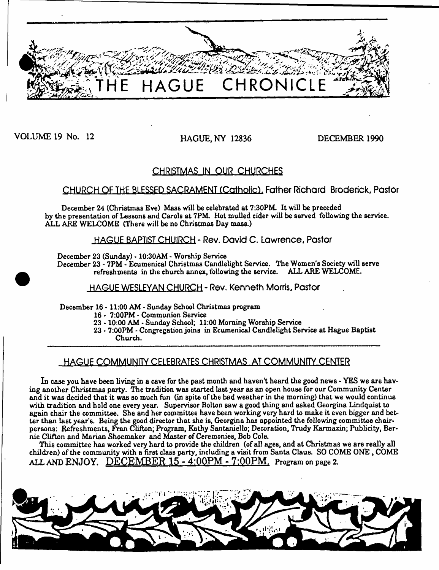

VOLUME 19 No. 12 HAGUE, NY 12836 DECEMBER 1990

# **CHRISTMAS IN OUR CHURCHES**

# CHURCH OF THE BLESSED SACRAMENT (Catholic), Father Richard Broderick, Pastor

December 24 (Christmas Eve) Mass will be celebrated at 7:30PM. It will be preceded by the presentation of Lessons and Carols at 7PM. Hot mulled cider will be served following the service. ALL AKE WELCOME (There will be no Christmas Day mass.)

**HAGUE BAPTIST CHUIRCH - Rev. David C. Lawrence, Pastor** 

December 23 (Sunday) - 10:30AM - Worship Service

December 23 - 7PM - Ecumenical Christmas Candlelight Service. The Women's Society will serve refreshments in the church annex, following the service. ALL ARE WELCOME.

**HAGUE WESLEYAN CHURCH - Rev. Kenneth Morris, Pastor**

December 16 -11:00 AM \* Sunday School Christmas program

16 - 7:00PM - Communion Service

23 -10:00 AM - Sunday School; 11:00 Morning Worship Service

23 • 7 :00PM - Congregation joins in Ecumenical Candlelight Service at Hague Baptist Church.

# **HAGUE COMMUNITY CELEBRATES CHRISTMAS AT COMMUNfTY CENTER**

In case you have been living in a cave for the past month and haven't heard the good news - YES we are having another Christmas party. The tradition was started last year as an open house for our Community Center and it was decided that it was so much fun (in spite of the bad weather in the morning) that we would continue with tradition and hold one every year. Supervisor Bolton saw a good thing and asked Georgina Lindquist to again chair the committee. She and her committee have been working very hard to make it even bigger and better than last year's. Being the good director that she is, Georgina has appointed the following committee chairpersons: Refreshments, Fran Clifton; Program, Kathy Santaniello; Decoration, Trudy Karmazin; Publicity, Bernie Clifton and Marian Shoemaker and Master of Ceremonies, Bob Cole.

This committee has worked very hard to provide the children (of all ages, and at Christmas we are really all children) of the community with a first class party, including a visit from Santa Claus. SO COME ONE , COME ALL AND **ENJOY. DECEM BER 15 - 4:00PM - 7:00PM.** ProgTam **on page 2.**

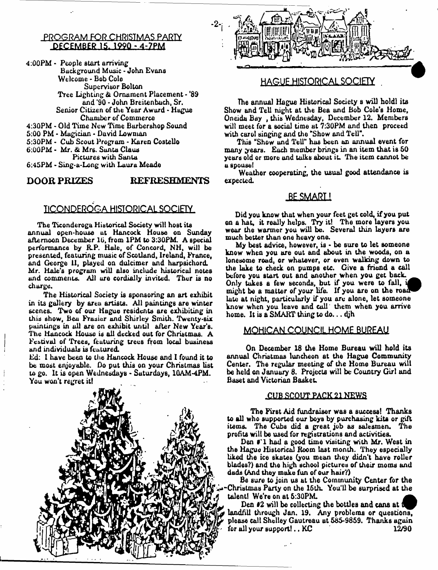## **PROGRAM FOR CHRISIMAS PARIY PECEMBER.15. 1990 - 4-7PM**

4:00PM - People start arriving Background Music - John Evans Welcome - Bob Cole Supervisor Bolton Tree Lighting & Ornament Placement - '89 and '90 \* John Breitenbach, Sr. Senior Citizen of the Year Award - Hague Chamber of Commerce 4:30PM - Old Time New Time Barbershop Sound 5:00 PM - Magician - David Lowman 5:30PM - Cub Scout Program - Karen Costello 6:00PM - Mr. & Mr6. Sunta Claus Pictures with Santa 6:45PM - Sing-u-Long with Laura Meade

### **DOOR PRIZES REFRESHMENTS**

# **IICONDEROGA HISTORICAL SOCIETY**

The Ticonderoga Historical Society will host its annual open-house at Hancock House on Sunday afternoon December 10, from 1PM to 3:30PM. A special performance by R.P. Hale, of Concord, NH, will be presented, featuring music of Scotland, Ireland, France, and George 11, played on dulcimer and harpsichord. Mr. Hale's program will also include historical notes and comments. All are cordially invited. Ther is no charge.

The Historical Society is sponsoring an art exhibit in its gallery by area artists. All paintings are winter scenes. Two of our Hague residents are exhibiting in this show, Beu Frasier and Shirley Smith. Twenty-six paintings in all are on exhibit until after New Year's. The Hancock House is all decked out for Christmas. A Festival of Trees, featuring trees from local business and individuals is featured.

Ed: 1 have been to the Hancock House and 1 found it to be most enjoyable. Do put this on your Christmas list to go. It is open Wednesdays - Saturdays, 1QAM-4PM. You won't regret it!





## **HAGUE HISTORICAL SOCIETY .**

The annual Hague Historical Society s will holdl its Show and Tell night at the Bea and Bob Cole's Home, Oneida Bay , this Wednesday, December 12. Members wilt meet for a social time at 7:30PM and then proceed with carol singing and the "Show and Tell".

This "Show and Tell" has been an annual event for many years. Each member brings in an item that is 50 years old or more and talks about it. The item cannot be u spouse!

Weather cooperating, the usual good attendance is expected.

## **BE SMART!**

Did you know that when your feet get cold, if you put on a hat, it really helps. Try it! The more layers you wear the warmer you will be. Several thin layers are much better than one heavy one.

My best advice, however, is  $\cdot$  be sure to let someone know when you are out and about in the woods, on a lonesome road, or whatever, or even walking down to the lake to check on pumps etc. Give a friend a call before you start out and another when you get back. Only takes a few seconds, but if you were to fall, i ^ B might be a matter of your life. If you are on the road late at night, particularly if you arc alone, let someone know when you leave and cull them when you arrive home. It is a SMART thing to do... dih

## **MOHICAN COUNCIL HOME BUREAU**

On December 18 the Home Bureau will hold its annual Christmas luncheon at the Hague Community Center. The regular meeting of the Home Bureau will be held on January 8. Projects will be Country Girl and Baset and Victorian Basket.

#### **■CUB SCQUT PACK 21 NEWS**

The First Aid fundraiser was a success! Thanks to all who supported our boys by purchasing kits or gift items. The Cubs did a great job as salesmen. The profits will be used for registrations and activities.

Den #'l had a good time visiting with Mr. West in the Hague Historical Room last month. They especially liked the ice skates (you mean they didn't have roller blades?) and the high school pictures of their moms and dads (And they make fun of our hair?)

Be sure to join us at the Community Center for the ^Christmas Party on the 16th. You'11 be surprised at the talentl We're on at 6:30PM.

Den #2 will be collecting the bottles and cans at 0 landfill through Jan. 19. Any problems or questions, please call Shelley Gautreau at 585-9859. Thanks again for all your support!.. KC 12/90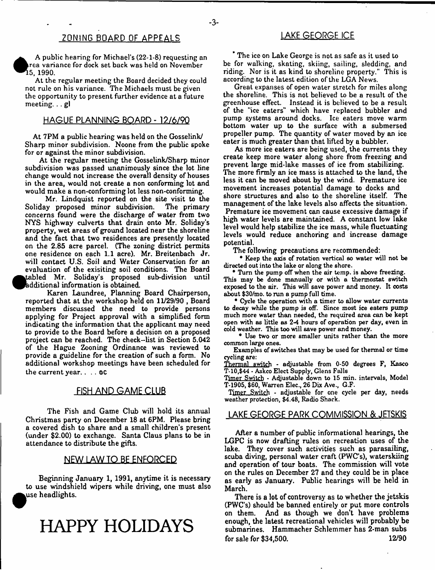A public hearing for Michael's (22-1-8) requesting an rea variance for dock set back was held on November ^ ^ 5 , 1990.

At the regular meeting the Board decided they could not rule on his variance. The Michaels must be given the opportunity to present further evidence at a future meeting. . . gl

## **HAGUE PLANNING BOARD - 12/6/9Q**

At 7PM a public hearing was held on the Gosselink/ Sharp minor subdivision. Noone from the public spoke for or against the minor subdivision.

At the regular meeting the Gosselink/Sharp minor subdivision was passed unanimously since the lot line change would not increase the overall density of houses in the area, would not create a non conforming lot and would make a non-conforming lot less non-conforming.

Mr. Lindquist reported on the site visit to the<br>y proposed minor subdivision. The primary Soliday proposed minor subdivision. concerns found were the discharge of water from two NYS highway culverts that drain onto Mr. Soliday's property, wet areas of ground located near the shoreline and the fact that two residences are presently located on the 2.85 acre parcel. (The zoning district permits one residence on each 1.1 acre). Mr. Breitenbach Jr. will contact U.S. Soil and Water Conservation for an evaluation of the exisiting soil conditions. The Board tabled Mr. Soliday's proposed sub-division until additional information is obtained.

Karen Laundree, Planning Board Chairperson, reported that at the workshop held on 11/29/90, Board members discussed the need to provide persons applying for Project approval with a simplified form indicating the information that the applicant may need to provide to the Board before a decision on a proposed project can be reached. The check--list in Section 5.042 of the Hague Zooning Ordinance was reviewed to provide a guideline for the creation of such a form. No additional workshop meetings have been scheduled for the current year. . . . OC

## **FISH AND GAME CLUB**

The Fish and Game Club will hold its annual Christmas party on December 18 at 6PM. Please bring a covered dish to share and a small children's present (under \$2.00) to exchange. Santa Claus plans to be in attendance to distribute the gifts.

#### **NEW LAW TO BE ENFORCED**

Beginning January 1, 1991, anytime it is necessary to use windshield wipers while driving, one must also use headlights.

**HAPPY HOLIDAYS**

" The ice on Lake George is not as safe as it used to be for walking, skating, skiing, sailing, sledding, and riding. Nor is it as kind to shoreline property." This is according to the latest edition of the LGA News.

Great expanses of open water stretch for miles along the shoreline. This is not believed to be a result of the greenhouse effect. Instead it is believed to be a result of the "ice eaters" which have replaced bubbler and pump systems around docks. Ice eaters move warm bottom water up to the surface with a submersed propeller pump. The quantity of water moved by an ice eater is much greater than that lifted by a bubbler.

As more ice eaters are being used, the currents they create keep more water along shore from freezing and prevent large mid-lake masses of ice from stabilizing. The more firmly an ice mass is attached to the land, the less it can be moved about by the wind. Premature ice movement increases potential damage to docks and shore structures and also to the shoreline itself. The management of the lake levels also affects the situation. Premature ice movement can cause excessive damage if high water levels are maintained. A constant low lake level would help stabilize the ice mass, while fluctuating levels would reduce anchoring and increase damage potential.

The following precautions are recommended:

\* Keep the axis of rotation vertical so water will not be directed out into the lake or along the shore.

\* Turn the pump off when the air temp, is above freezing. This may be done manually or with a thermostat switch exposed to the air. This will save power and money. It costs about \$30/mo. to run a pump full time.

• Cycle the operation with a timer to allow water currents to decay while the *pump* is off. Since most ice eaters pump much more water than needed, the required area can be kept open with as little as 2-4 hours of operation per day, even in cold weather. This too will save power and money.

\* Use two or more smaller units rather than the more common large ones.

Examples of switches that may be used for thermal or time cycling are:

Thermal switch - adjustable from 0-50 degrees F, Kasco T-10,\$44 - Askco Elect Supply, Glens Falls

Timer Switch - Adjustable down to 15 min. intervals, Model T-1905, \$60, Warren Elec., 26 Dix Ave., G.F.

Timer Switch - adjustable for one cycle per day, needs weather protection, \$4.48, Radio Shack.

#### **LAKE GEORGE PARK COMMISSION & JETSKIS**

After a number of public informational hearings, the LGPC is now drafting rules on recreation uses of the lake. They cover such activities such as parasailing, scuba diving, personal water craft (PWC's), waterskiing and operation of tour boats. The commission will vote on the rules on December 27 and they could be in place as early as January. Public hearings will be held in March.

There is a lot of controversy as to whether the jetskis (PWC's) should be banned entirely or put more controls on them. And as though we don't have problems enough, the latest recreational vehicles will probably be submarines. Hammacher Schlemmer has 2-man subs for sale for \$34,500. 12/90

- **3**-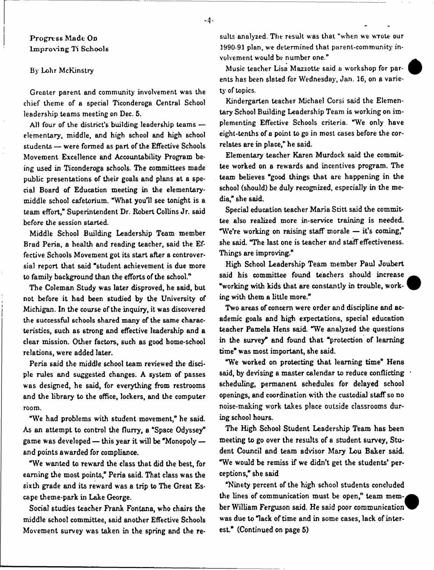## Progress Made On im proving Ti Schools

#### By Lohr McKinstry

Greater parent and community involvement was the chief theme of a special Ticonderoga Central School leadership teams meeting on Dec. 5.

All four of the district's building leadership teams elementary, middle, and high school and high school students — were formed as part of the Effective Schools Movement Excellence and Accountability Program being used in Ticonderoga schools. The committees made public presentations of their goals and plans at a special Board of Education meeting in the elementarymiddle school cafetorium. "What you'll see tonight is a team effort," Superintendent Dr. Robert Collins Jr. said before the session started.

Middle School Building Leadership Team member Brad Peria, a health and reading teacher, said the Effective Schools Movement got its start after a controversial report that said "student achievement is due more to family background than the efforts of the school."

The Coleman Study was later disproved, he said, but not before it had been studied by the University of Michigan. In the course of the inquiry, it was discovered the successful schools shared many of the same characteristics, such as strong and effective leadership and a clear mission. Other factors, such as good home-school relations, were added later.

Peria said the middle school team reviewed the disciple rules and suggested changes. A system of passes was designed, he said, for everything from restrooms and the library to the office, lockers, and the computer room.

"We had problems with student movement," he said. As an attempt to control the flurry, a "Space Odyssey" game was developed — this year it will be "Monopoly and points awarded for compliance.

"We wanted to reward the class that did the best, for earning the most points," Peria said. That class was the sixth grade and its reward was a trip to The Great Escape theme-park in Lake George.

Social studies teacher Frank Fontana, who chairs the middle school committee, said another Effective Schools Movement survey was taken in the spring and the results analyzed. The result was that "when we wrote our 1990-91 plan, we determined that parent-community involvement would be number one."

Music teacher Lisa Mazzotle said a workshop for parents has been slated for Wednesday, Jan. 16, on a variety of topics.

Kindergarten teacher Michael Corsi said the Elementary School Building Leadership Team is working on implementing Effective Schools criteria. "We only have eight-tenths of a point to go in most cases before the correlates are in place," he said.

Elementary teacher Karen Murdock said the committee worked on a rewards and incentives program. The team believes "good things that are happening in the school (should) be duly recognized, especially in the media," she said.

Special education teacher Maria Stitt said the committee also realized more in-service training is needed. "We're working on raising staff morale — it's coming," she said. "The last one is teacher and staff effectiveness. Things are improving."

High School Leadership Team member Paul Joubert said his committee found teachers should increase "working with kids that are constantly in trouble, working with them a little more."

Two areas of concern were order and discipline and academic goals and high expectations, special education teacher Pamela Hens said. "We analyzed the questions in the survey" and found that "protection of learning time" was most important, she said.

"We worked on protecting that learning time" Hens said, by devising a master calendar to reduce conflicting scheduling, permanent schedules for delayed school openings, and coordination with the custodial staff so no noise-making work takes place outside classrooms during school hours.

The High School Student Leadership Team has been meeting to go over the results of a student survey, Student Council and team advisor Mary Lou Baker said. "We would be remiss if we didn't get the students' perceptions," she said

"Ninety percent of the high school students concluded the lines of communication must be open," team member William Ferguson said. He said poor communication was due to "lack of time and in some cases, lack of interest." (Continued on page 5)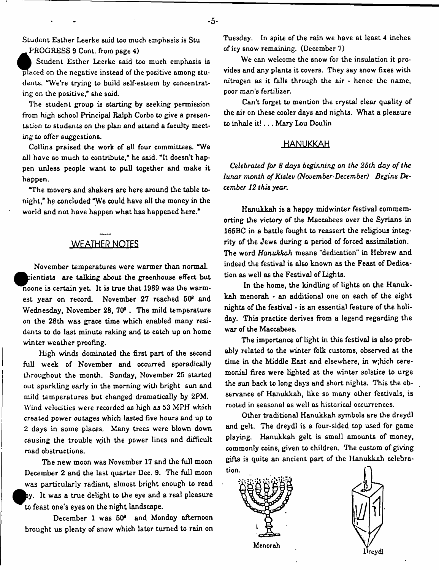Sludent Esther Leerke said too much emphasis is Stu PROGRESS 9 Cont. from page 4)

**C**<br>Blaced<br>dents. Student Esther Leerke said too much emphasis is  $\overline{p}$  aced on the negative instead of the positive among students. "We're trying to build self-esteem by concentrating on the positive," she said.

The student group is starting by seeking permission from high school Principal Ralph Corbo to give a presentation to students on the plan and attend a faculty meeting to offer suggestions.

Collins praised the work of all four committees. "We all have so much to contribute," he said. "It doesn't happen unless people want to pull together and make it happen.

"The movers and shakers are here around the table tonight," he concluded "We could have all the money in the world and not have happen what has happened here."

# **WEATHER NOTES**

November temperatures were warmer than normal,  $r$ ientists are talking about the greenhouse effect but noone is certain yet. It is true that 1989 was the warmest year on record. November 27 reached 50° and Wednesday, November 28, 709 . The mild temperature on the 28th was grace time which enabled many residents to do last minute raking and to catch up on home winter weather proofing.

High winds dominated the first part of the second full week of November and occurred sporadically throughout the month. Sunday, November 25 started out sparkling early in the morning with bright sun and mild temperatures but changed dramatically by 2PM. Wind velocities were recorded as high as 53 MPH which created power outages which lasted five hours and up to 2 days in some places. Many trees were blown down causing the trouble wjth the power lines and difficult road obstructions.

The new moon was November 17 and the full moon December 2 and the last quarter Dec. 9. The full moon was particularly radiant, almost bright enough to read by. It was a true delight to the eye and a real pleasure to feast one's eyes on the night landscape.

December 1 was 50® and Monday afternoon brought us plenty of snow which later turned to rain on Tuesday. In spite of the rain we have at least 4 inches of icy snow remaining. (December 7)

We can welcome the snow for the insulation it provides and any plants it covers. They say snow fixes with nitrogen as it falls through the air - hence the name, poor man's fertilizer.

Can't forget to mention the crystal clear quality of the air on these cooler days and nights. What a pleasure to inhale it! . . . Mary Lou Doulin

## **HANUKKAH**

Celebrated for 8 days beginning on the 25th day of the *lunar month of Kislev (November-December) Begins December 12 this year.*

Hanukkah is a happy midwinter festival commemorting the victory of the Maccabees over the Syrians in 165BC in a battle fought to reassert the religious integrity of the Jews during a period of forced assimilation. The word *Hanukkah* means "dedication" in Hebrew and indeed the festival is also known as the Feast of Dedication as well as the Festival of Lights.

In the home, the kindling of lights on the Hanukkah menorah - an additional one on each of the eight nights of the festival - is an essential feature of the holiday. This practice derives from a legend regarding the war of the Maccabees.

The importance of light in this festival is also probably related to the winter folk customs, observed at the time in the Middle East and elsewhere, in w;hich ceremonial fires were lighted at the winter solstice to urge the sun back to long days and short nights. This the observance of Hanukkah, like so many other festivals, is rooted in seasonal as well as historical occurrences.

Other traditional Hanukkah symbols are the dreydl and gelt. The dreydl is a four-sided top used for game playing. Hanukkah gelt is small amounts of money, commonly coins, given to children. The custom of giving gifts is quite an ancient part of the Hanukkah celebration.



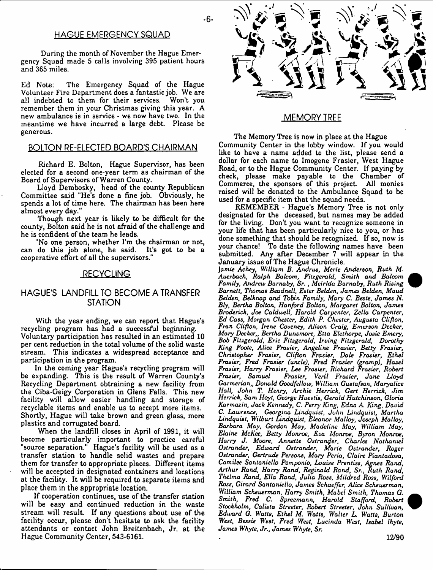### **HAGUE EMERGENCY SQUAD**

During the month of November the Hague Emergency Squad made 5 calls involving 395 patient hours and 365 miles.

Ed Note: The Emergency Squad of the Hague Volunteer Fire Department does a fantastic job. We are all indebted to them for their services. Won't you remember them in your Christmas giving this year. A new ambulance is in service - we now have two. In the meantime we have incurred a large debt. Please be generous.

#### **BOLTON RE-ELECTED BOARD'S CHAIRMAN**

Richard E. Bolton, Hague Supervisor, has been elected for a second one-year term as chairman of the Board of Supervisors of Warren County.

Lloyd Dembosky, head of the county Republican Committee said "He's done a fine job. Obviously, he spends a lot of time here. The chairman has been here almost every day."

Though next year is likely to be difficult for the county, Bolton said he is not afraid of the challenge and he is confident of the team he leads.

"No one person, whether I'm the chairman or not, can do this job alone, he said. It's got to be a cooperative effort of all the supervisors."

#### **RECYCLING**

## **HAGUE'S LANDFILL TO BECOME A TRANSFER STATION**

With the year ending, we can report that Hague's recycling program has had a successful beginning. Voluntary participation has resulted in an estimated 10 per cent reduction in the total volume of the solid waste stream. This indicates a widespread acceptance and participation in the program.

In the coming year Hague's recycling program will be expanding. This is the result of Warren County's Recycling Department obtraining a new facility from the Ciba-Geigy Corporation in Glens Falls. This new facility will allow easier handling and storage of recyclable items and enable us to accept more items. Shortly, Hague will take brown and green glass, more plastics and corrugated board.

When the landfill closes in April of 1991, it will become particularly important to practice careful "source separation." Hague's facility will be used as a transfer station to handle solid wastes and prepare them for transfer to appropriate places. Different items will be accepted in designated containers and locations at the facility. It will be required to separate items and place them in the appropriate location.

If cooperation continues, use of the transfer station will be easy and continued reduction in the waste stream will result. If any questions about use of the facility occur, please don't hesitate to ask the facility attendants or contact John Breitenbach, Jr. at the Hague Community Center, 543-6161.



#### **MEMORY TREE**

The Memory Tree is now in place at the Hague Community Center in the lobby window. If you would like to have a name added to the list, please send a dollar for each name to Imogene Frasier, West Hague Road, or to the Hague Community Center. If paying by check, please make payable to the Chamber of Commerce, the sponsors of this project. All monies raised will be donated to the Ambulance Squad to be used for a specific item that the squad needs.

REMEMBER - Hague's Memory Tree is not only designated for the deceased, but names may be added for the living. Don't you want to recognize someone in your life that has been particularly nice to you, or has done something that should be recognized. If so, now is your chance! To date the following names have been submitted. Any after December 7 will appear in the January issue of The Hague Chronicle.

J*amie Achey, William B. Andrus, Merle Anderson, Ruth M. Auerbach, Ralph Balcom, Fitzgerald, Sm ith and Balcom Family, Andrew Barnaby, Sr. , Meirlda Barnaby, Ruth Rising Barnett, Thomas Beadnell, Ester Belden, James Belden, Maud Belden, Belknap and Tobin Family, Mary C. Beste, James N. Bly, Bertha Bolton, Hanford Bolton, Margaret Bolton, James Broderick, Joe Caldwell, Harold Carpenter, Zella Carpenter, Ed Cass, Morgan Chester, Edith P. Chester, Augusta Clifton, Fran Clifton, Irene Coveney, Alison Craig, Emerson Decker, Mary Decker,, Bertha Duns more, Etta Elethorpe, Josie Emery, Bob Fitzgerald, Eric Fitzgerald, Irving Fitzgerald, Dorothy King Foote, Alice Frasier, Angeline Frasier, Betty Frasier, Christopher* Frasier, *Clifton Frasier, Date Frasier, Ethel Frasier, Fred* Frasier *(uncle), Fred Frasier (gramp), Hazel Frasier, Harry Frasier, Lee Frasier, Richard* Frasier, *Robert Frasier, Samuel Frasier, Veril* Frasier, *Jane Lloyd Garmerian,, Donald Goodfellow, William Gustafson, Maryalice Hall, John T. Henry, Archie Herrick, Gert Herrick, Jim Herrick, Sam Hoyt, George Huestis, Gerald Hutchinson, Gloria Karmazin, Jack Kennedy, C. Perry King, Edna* A *King, David C. Lawrence, Georgina Lindquist, John Lindquist, Martha Lindquist, Wilburt Lindquist, Eleanor Malloy, Joseph Malloy, Barbara May, Gordon May, Madeline May, William May, Elaine McKee, Betty Monroe, Eva Monroe, Byron Monroe, Harry J. Moore, Annette Ostrander, Charles Nathaniel Ostrander, Edward Ostrander, Marie Ostrander, Roger Ostrander, Gertrude Persons, Mary Peria, Claire Piantadosa, Camilee Santaniello Pomponio, Louise Prentiss, Agnes Rand, Arthur Rand, Harry Rand, Reginald Rand, Sr., Ruth Rand, Thelma Rand, Ella Rand, Julia Ross, Mildred Ross, Wilford Ross, Girard Santaniello, James Schaeffer, Alice Scheuerman, William Scheuerman, Harry Smith, Mabel Smith, Thomas G. Smith, Fred C. Spreemann, Harold Stafford, Robert Stockholm, Calista Streeter, Robert Streeter, John Sullivan, Edward G.* Waffs, *Ethel M. Watts, Walter L. Watts, Burton West, Bessie West, Fred West, Lucinda West, Isabel Ihyte, James Whyte, Jr., James Whyte, Sr.*



-6-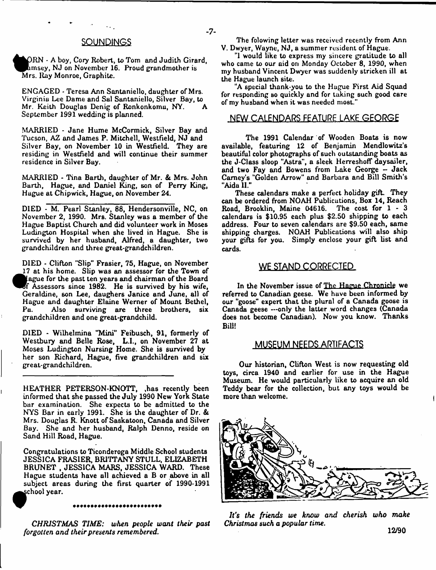#### **SOUNDINGS**

ORN - A boy, Cory Robert, to Tom and Judith Girard.  $\Delta$ msey, NJ on November 16. Proud grandmother is Mrs. Ray Monroe, Graphite.

ENGAGED - Teresa Ann Santaniello, daughter of Mrs. Virginia Lee Dame and Sal Santaniello, Silver Bay, to Mr. Keith Douglas Denig of Ronkonkomu, NY. September 1991 wedding is planned.

MARRIED - Jane Hume McCormick, Silver Bay and Tucson, AZ and James P. Mitchell, Westfield, NJ and Silver Bay, on November 10 in Westfield. They are residing in Westfield and will continue their summer residence in Silver Buy.

MARRIED - Tina Barth, daughter of Mr. & Mrs. John Barth, Hague, and Daniel King, son of Perry King, Hague at Chipwick, Hague, on November 24.

DIED \* M. Pearl Stanley, 88, Hendersonville, NC, on November 2, 1990. Mrs. Stanley was a member of the Hague Baptist Church and did volunteer work in Moses Ludington Hospital when she lived in Hague. She is survived by her husband, Alfred, a daughter, two grandchildren and three great-grandchildren.

DIED - Clifton "Slip" Frasier, 75, Hague, on November 17 at his home. Slip was an assessor for the Town of ague for the past ten years and chairman of the Board *Wf* Assessors since 1982. He is survived by his wife, Geraldine, son Lee, daughers Janice and June, all of Hague and daughter Elaine Werner of Mount Bethel, Also surviving are three brothers, six grandchildren and one great-grandchild.

DIED - Wilhelmina "Mini" Feibusch, 91, formerly of Westbury and Belle Rose, L.I., on November 27 at Moses Ludington Nursing Home. She is survived by her son Richard, Hague, five grandchildren and six great-grandchildren.

HEATHER PETERSON-KNOTT, ,has recently been informed that she passed the July 1990 New York State bar examination. She expects to be admitted to the NYS Bar in early 1991. She is the daughter of Dr. & Mrs. Douglas R. Knott of Saskatoon, Canada and Silver Bay. She and her husband, Ralph Denno, reside on Sand Hill Road, Hague.

Congratulations to Ticonderoga Middle School students JESSICA FRASIER, BRITTANY STULL, ELIZABETH BRUNET , JESSICA MARS, JESSICA WARD. These Hague students have all achieved a B or above in all subject areas during the first quarter of 1990-1991 school year.

#### \*\*\*\*\*\*\*\*\*\*\*\*\*\*\*\*\*\*\*\*\*\*\*\*

*CH RISTM AS TIME: when people want their past forgotten and their presents remembered.*

The folowing letter was received recently from Ann V. Dwyer, Wayne, NJ, a summer resident of Hague.

"1 would like to express my sincere gratitude to all who came to our aid on Monday October 8, 1990, when my husband Vincent Dwyer was suddenly stricken ill at the Hague launch site.

"A special thank-you to the Hugue First Aid Squad for responding so quickly and for taking such good care of my husband when it was needed most."

#### **NEW CALENDARS FEATURE LAKE GEORGE**

The 1991 Calendar of Wooden Boats is now available, featuring 12 of Benjamin Mendlowitz's beautiful color photographs of such outstanding boats as the J-Class sloop "Astra", a sleek HerreshofT day sailer, and two Fay and Bowens from Lake George - Jack Carney's "Golden Arrow" and Barbara and Bill Smith's "Aida II."

These calendars make a perfect holiday gift. They can be ordered from NOAH Publications, Box 14, Reach Road, Brooklin, Maine 04616. The cost for 1 - 3 calendars is \$10.95 each plus \$2.50 shipping to each address. Four to seven calendars are \$9.50 each, same shipping charges. NOAH Publications will also ship your gifts for you. Simply enclose your gift list and cards.

#### **WE STAND CORRECTED**

In the November issue of The Hague Chronicle we referred to Canadian geese. We huve been informed by our "goose" expert that the plural of a Canada goose is Canada geese —only the latter word changes (Canada does not become Canadian). Now you know. Thanks Bill!

#### **MUSEUM NEEDS ARTIFACTS**

Our historian, Clifton West is now requesting old toys, circa 1940 and earlier for use in the Hague Museum. He would particularly like to acquire an old Teddy bear for the collection, but any toys would be more than welcome.



ft's *the friends we know and cherish who make Christmas such a popular time.*